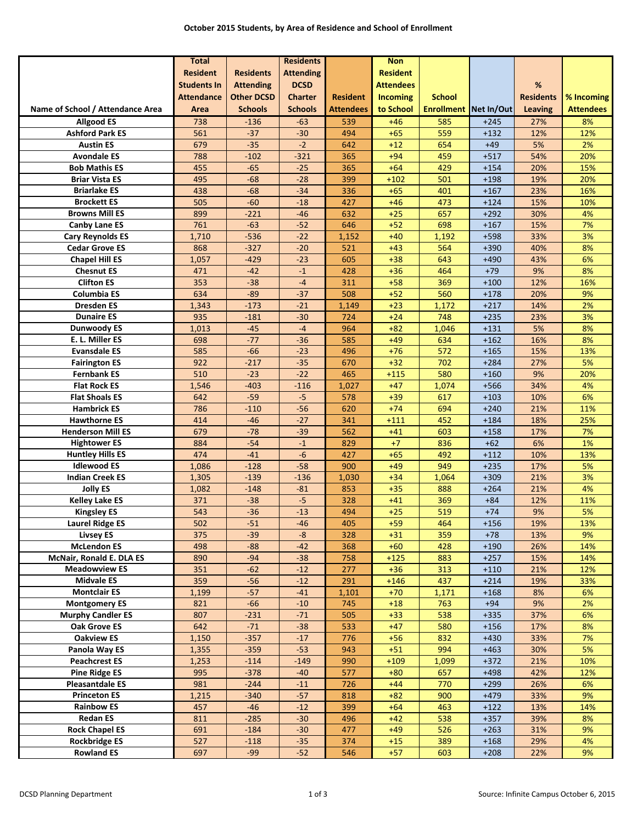|                                  | <b>Total</b>       |                   | <b>Residents</b> |                  | <b>Non</b>       |                              |                  |                  |                  |
|----------------------------------|--------------------|-------------------|------------------|------------------|------------------|------------------------------|------------------|------------------|------------------|
|                                  | <b>Resident</b>    | <b>Residents</b>  | <b>Attending</b> |                  | <b>Resident</b>  |                              |                  |                  |                  |
|                                  | <b>Students In</b> | <b>Attending</b>  | <b>DCSD</b>      |                  | <b>Attendees</b> |                              |                  | $\%$             |                  |
|                                  | <b>Attendance</b>  | <b>Other DCSD</b> | <b>Charter</b>   | <b>Resident</b>  | <b>Incoming</b>  | <b>School</b>                |                  | <b>Residents</b> | % Incoming       |
| Name of School / Attendance Area | Area               | <b>Schools</b>    | <b>Schools</b>   | <b>Attendees</b> | to School        | <b>Enrollment Net In/Out</b> |                  | Leaving          | <b>Attendees</b> |
| <b>Allgood ES</b>                | 738                | $-136$            | $-63$            | 539              | $+46$            | 585                          | $+245$           | 27%              | 8%               |
| <b>Ashford Park ES</b>           | 561                | $-37$             | $-30$            | 494              | $+65$            | 559                          | $+132$           | 12%              | 12%              |
| <b>Austin ES</b>                 | 679                | $-35$             | $-2$             | 642              | $+12$            | 654                          | $+49$            | 5%               | 2%               |
| <b>Avondale ES</b>               | 788                | $-102$            | $-321$           | 365              | $+94$            | 459                          | $+517$           | 54%              | 20%              |
| <b>Bob Mathis ES</b>             | 455                | $-65$             | $-25$            | 365              | $+64$            | 429                          | $+154$           | 20%              | 15%              |
| <b>Briar Vista ES</b>            | 495                | $-68$             | $-28$            | 399              | $+102$           | 501                          | $+198$           | 19%              | 20%              |
| <b>Briarlake ES</b>              | 438                | $-68$             | $-34$            | 336              | $+65$            | 401                          | $+167$           | 23%              | 16%              |
| <b>Brockett ES</b>               | 505                | $-60$             | $-18$            | 427              | $+46$            | 473                          | $+124$           | 15%              | 10%              |
| <b>Browns Mill ES</b>            | 899                | $-221$            | $-46$            | 632              | $+25$            | 657                          | $+292$           | 30%              | 4%               |
| <b>Canby Lane ES</b>             | 761                | $-63$             | $-52$            | 646              | $+52$            | 698                          | $+167$           | 15%              | 7%               |
| <b>Cary Reynolds ES</b>          | 1,710              | $-536$            | $-22$            | 1,152            | $+40$            | 1,192                        | $+598$           | 33%              | 3%               |
| <b>Cedar Grove ES</b>            | 868                | $-327$            | $-20$            | 521              | $+43$            | 564                          | +390             | 40%              | 8%               |
| <b>Chapel Hill ES</b>            | 1,057              | $-429$            | $-23$            | 605              | $+38$            | 643                          | $+490$           | 43%              | 6%               |
| <b>Chesnut ES</b>                | 471                | $-42$             | $-1$             | 428              | $+36$            | 464                          | $+79$            | 9%               | 8%               |
| <b>Clifton ES</b>                | 353                | $-38$             | $-4$             | 311              | $+58$            | 369                          | $+100$           | 12%              | 16%              |
| Columbia ES                      | 634                | $-89$             | $-37$            | 508              | $+52$            | 560                          | $+178$           | 20%              | 9%               |
| <b>Dresden ES</b>                | 1,343              | $-173$            | $-21$            | 1,149            | $+23$            | 1,172                        | $+217$           | 14%              | 2%               |
| <b>Dunaire ES</b>                | 935                | $-181$            | $-30$            | 724              | $+24$            | 748                          | $+235$           | 23%              | 3%               |
| <b>Dunwoody ES</b>               | 1,013              | $-45$             | $-4$             | 964              | $+82$            | 1,046                        | $+131$           | 5%               | 8%               |
| E. L. Miller ES                  | 698                | $-77$             | $-36$            | 585              | $+49$            | 634                          | $+162$           | 16%              | 8%               |
| <b>Evansdale ES</b>              | 585                | $-66$             | $-23$            | 496              | $+76$            | 572                          | $+165$           | 15%              | 13%              |
| <b>Fairington ES</b>             | 922                | $-217$            | $-35$            | 670              | $+32$            | 702                          | $+284$           | 27%              | 5%               |
| <b>Fernbank ES</b>               | 510                | $-23$             | $-22$            | 465              | $+115$           | 580                          | $+160$           | 9%               | 20%              |
| <b>Flat Rock ES</b>              | 1,546              | $-403$            | $-116$           | 1,027            | $+47$            | 1,074                        | +566             | 34%              | 4%               |
| <b>Flat Shoals ES</b>            | 642                | $-59$             | $-5$             | 578              | $+39$            | 617                          | $+103$           | 10%              | 6%               |
| <b>Hambrick ES</b>               | 786                | $-110$            | $-56$            | 620              | $+74$            | 694                          | $+240$           | 21%              | 11%              |
| <b>Hawthorne ES</b>              | 414                | $-46$             | $-27$            | 341              | $+111$           | 452                          | $+184$           | 18%              | 25%              |
| <b>Henderson Mill ES</b>         | 679                | $-78$             | $-39$            | 562              | $+41$            | 603                          | $+158$           | 17%              | 7%               |
| <b>Hightower ES</b>              | 884                | $-54$             | $^{\rm -1}$      | 829              | $+7$             | 836                          | $+62$            | 6%               | 1%               |
| <b>Huntley Hills ES</b>          | 474                | $-41$             | $-6$             | 427              | $+65$            | 492                          | $+112$           | 10%              | 13%              |
| <b>Idlewood ES</b>               | 1,086              | $-128$            | $-58$            | 900              | $+49$            | 949                          | $+235$           | 17%              | 5%               |
| <b>Indian Creek ES</b>           | 1,305              | $-139$            | $-136$           | 1,030            | $+34$            | 1,064                        | $+309$           | 21%              | 3%               |
| <b>Jolly ES</b>                  | 1,082              | $-148$            | $-81$            | 853              | $+35$            | 888                          | $+264$           | 21%              | 4%               |
| <b>Kelley Lake ES</b>            | 371                | $-38$             | $-5$             | 328              | $+41$            | 369                          | $+84$            | 12%              | 11%              |
| <b>Kingsley ES</b>               | 543                | $-36$             | $-13$            | 494              | $+25$            | 519                          | $+74$            | 9%               | 5%               |
| <b>Laurel Ridge ES</b>           | 502                | $-51$             | $-46$            | 405              | $+59$            | 464                          | $+156$           | 19%              | 13%              |
| <b>Livsey ES</b>                 | 375                | $-39$             | $-8$             | 328              | $+31$            | 359                          | $+78$            | 13%              | 9%               |
| <b>McLendon ES</b>               | 498                | $-88$             | $-42$            | 368              | $+60$            | 428                          | $+190$           | 26%              | 14%              |
| McNair, Ronald E. DLA ES         | 890                | $-94$             | $-38$            | 758              | $+125$           | 883                          | $+257$           | 15%              | 14%              |
| <b>Meadowview ES</b>             | 351                | $-62$             | $-12$            | 277              | $+36$            | 313                          | $+110$           | 21%              | 12%              |
| <b>Midvale ES</b>                | 359                | $-56$             | $-12$            | 291              | $+146$           | 437                          | $+214$           | 19%              | 33%              |
| <b>Montclair ES</b>              | 1,199              | $-57$             | $-41$            | 1,101            | $+70$            | 1,171                        | $+168$           | 8%               | 6%               |
| <b>Montgomery ES</b>             | 821                | $-66$             | $-10$            | 745              | $+18$            | 763                          | $+94$            | 9%               | 2%               |
| <b>Murphy Candler ES</b>         | 807                | $-231$            | $-71$            | 505              | $+33$            | 538                          | $+335$           | 37%              | 6%               |
| <b>Oak Grove ES</b>              | 642                | $-71$             | $-38$            | 533              | $+47$            | 580                          | $+156$           | 17%              | 8%               |
| <b>Oakview ES</b>                | 1,150              | $-357$            | $-17$            | 776              | $+56$            | 832                          | $+430$           | 33%              | 7%               |
| Panola Way ES                    | 1,355              | $-359$            | $-53$            | 943              | $+51$            | 994                          | $+463$           | 30%              | 5%               |
| <b>Peachcrest ES</b>             | 1,253              | $-114$            | $-149$           | 990              | $+109$           | 1,099                        | $+372$           | 21%              | 10%              |
| <b>Pine Ridge ES</b>             | 995                | $-378$            | $-40$            | 577              | $+80$            | 657                          | $+498$           | 42%              | 12%              |
| <b>Pleasantdale ES</b>           | 981                | $-244$            | $-11$            | 726              | $+44$            | 770                          | $+299$           | 26%              | 6%               |
| <b>Princeton ES</b>              | 1,215              | $-340$            | $-57$            | 818              | $+82$            | 900                          | $+479$           | 33%              | 9%               |
| <b>Rainbow ES</b>                | 457                | $-46$             | $-12$            | 399              | $+64$            | 463                          | $+122$           | 13%              | 14%              |
| <b>Redan ES</b>                  | 811                | $-285$            |                  | 496              | $+42$            |                              |                  |                  | 8%               |
| <b>Rock Chapel ES</b>            | 691                | $-184$            | $-30$<br>$-30$   | 477              | $+49$            | 538<br>526                   | $+357$<br>$+263$ | 39%<br>31%       | 9%               |
| <b>Rockbridge ES</b>             | 527                |                   | $-35$            | 374              |                  |                              | $+168$           | 29%              | 4%               |
|                                  |                    | $-118$            |                  |                  | $+15$            | 389                          |                  |                  |                  |
| <b>Rowland ES</b>                | 697                | $-99$             | $-52$            | 546              | $+57$            | 603                          | $+208$           | 22%              | 9%               |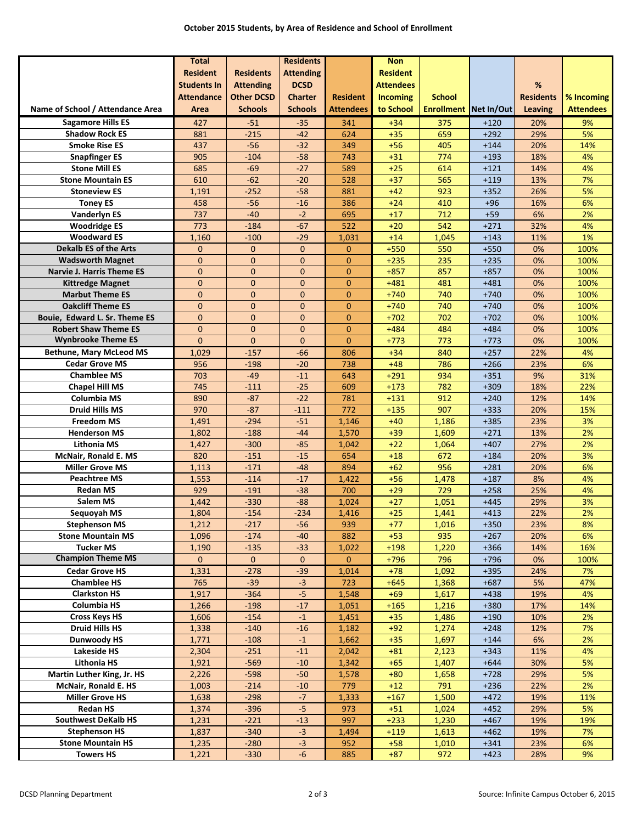|                                                              | <b>Total</b>                 |                              | <b>Residents</b>             |                              | <b>Non</b>       |                              |                  |                  |                  |
|--------------------------------------------------------------|------------------------------|------------------------------|------------------------------|------------------------------|------------------|------------------------------|------------------|------------------|------------------|
|                                                              | <b>Resident</b>              | <b>Residents</b>             | <b>Attending</b>             |                              | <b>Resident</b>  |                              |                  |                  |                  |
|                                                              | <b>Students In</b>           | <b>Attending</b>             | <b>DCSD</b>                  |                              | <b>Attendees</b> |                              |                  | %                |                  |
|                                                              | <b>Attendance</b>            | <b>Other DCSD</b>            | <b>Charter</b>               | <b>Resident</b>              | <b>Incoming</b>  | <b>School</b>                |                  | <b>Residents</b> | % Incoming       |
| Name of School / Attendance Area                             | Area                         | <b>Schools</b>               | <b>Schools</b>               | <b>Attendees</b>             | to School        | <b>Enrollment</b> Net In/Out |                  | <b>Leaving</b>   | <b>Attendees</b> |
| <b>Sagamore Hills ES</b>                                     | 427                          | $-51$                        | $-35$                        | 341                          | $+34$            | 375                          | $+120$           | 20%              | 9%               |
| <b>Shadow Rock ES</b>                                        | 881                          | $-215$                       | $-42$                        | 624                          | $+35$            | 659                          | $+292$           | 29%              | 5%               |
| <b>Smoke Rise ES</b>                                         | 437                          | $-56$                        | $-32$                        | 349                          | $+56$            | 405                          | $+144$           | 20%              | 14%              |
| <b>Snapfinger ES</b>                                         | 905                          | $-104$                       | $-58$                        | 743                          | $+31$            | 774                          | $+193$           | 18%              | 4%               |
| <b>Stone Mill ES</b>                                         | 685                          | $-69$                        | $-27$                        | 589                          | $+25$            | 614                          | $+121$           | 14%              | 4%               |
| <b>Stone Mountain ES</b>                                     | 610                          | $-62$                        | $-20$                        | 528                          | $+37$            | 565                          | $+119$           | 13%              | 7%               |
| <b>Stoneview ES</b>                                          | 1,191                        | $-252$                       | $-58$                        | 881                          | $+42$            | 923                          | $+352$           | 26%              | 5%               |
| <b>Toney ES</b>                                              | 458                          | $-56$                        | $-16$                        | 386                          | $+24$            | 410                          | $+96$            | 16%              | 6%               |
| <b>Vanderlyn ES</b>                                          | 737                          | $-40$                        | $-2$                         | 695                          | $+17$            | 712                          | $+59$            | 6%               | 2%               |
| <b>Woodridge ES</b>                                          | 773                          | $-184$                       | $-67$                        | 522                          | $+20$            | 542                          | $+271$           | 32%              | 4%               |
| <b>Woodward ES</b>                                           | 1,160                        | $-100$                       | $-29$                        | 1,031                        | $+14$            | 1,045                        | $+143$           | 11%              | 1%               |
| Dekalb ES of the Arts                                        | $\boldsymbol{0}$             | $\mathbf{0}$                 | $\mathbf{0}$                 | $\mathbf{0}$                 | $+550$           | 550                          | $+550$           | 0%               | 100%             |
| <b>Wadsworth Magnet</b>                                      | $\overline{0}$               | $\overline{0}$               | $\overline{0}$               | $\mathbf{0}$                 | $+235$           | 235                          | $+235$           | 0%               | 100%             |
| <b>Narvie J. Harris Theme ES</b>                             | $\mathbf{0}$                 | $\mathbf{0}$                 | $\overline{0}$               | $\mathbf{0}$                 | $+857$           | 857                          | $+857$           | 0%               | 100%             |
| <b>Kittredge Magnet</b>                                      | $\overline{0}$               | $\mathbf{0}$                 | $\overline{0}$               | $\mathbf{0}$                 | $+481$           | 481                          | $+481$           | 0%               | 100%             |
| <b>Marbut Theme ES</b><br><b>Oakcliff Theme ES</b>           | $\mathbf{0}$                 | $\mathbf{0}$                 | $\overline{0}$               | $\mathbf{0}$                 | $+740$           | 740                          | $+740$<br>$+740$ | 0%               | 100%<br>100%     |
|                                                              | $\mathbf{0}$<br>$\mathbf{0}$ | $\mathbf{0}$<br>$\mathbf{0}$ | $\mathbf{0}$<br>$\mathbf{0}$ | $\mathbf{0}$<br>$\mathbf{0}$ | $+740$           | 740<br>702                   | $+702$           | 0%<br>0%         |                  |
| Bouie, Edward L. Sr. Theme ES<br><b>Robert Shaw Theme ES</b> | $\mathbf{0}$                 | $\mathbf{0}$                 | $\mathbf{0}$                 | $\mathbf{0}$                 | $+702$<br>$+484$ | 484                          | $+484$           | 0%               | 100%<br>100%     |
| <b>Wynbrooke Theme ES</b>                                    | $\overline{0}$               | $\mathbf{0}$                 | $\overline{0}$               | $\mathbf{0}$                 | $+773$           | 773                          |                  | 0%               | 100%             |
| <b>Bethune, Mary McLeod MS</b>                               | 1,029                        | $-157$                       | $-66$                        | 806                          | $+34$            | 840                          | $+773$<br>$+257$ | 22%              | 4%               |
| <b>Cedar Grove MS</b>                                        | 956                          | $-198$                       | $-20$                        | 738                          | $+48$            | 786                          | $+266$           | 23%              | 6%               |
| <b>Chamblee MS</b>                                           | 703                          | $-49$                        | $-11$                        | 643                          | $+291$           | 934                          | $+351$           | 9%               | 31%              |
| <b>Chapel Hill MS</b>                                        | 745                          | $-111$                       | $-25$                        | 609                          | $+173$           | 782                          | $+309$           | 18%              | 22%              |
| Columbia MS                                                  | 890                          | $-87$                        | $-22$                        | 781                          | $+131$           | 912                          | $+240$           | 12%              | 14%              |
| <b>Druid Hills MS</b>                                        | 970                          | $-87$                        | $-111$                       | 772                          | $+135$           | 907                          | $+333$           | 20%              | 15%              |
| <b>Freedom MS</b>                                            | 1,491                        | $-294$                       | $-51$                        | 1,146                        | $+40$            | 1,186                        | $+385$           | 23%              | 3%               |
| <b>Henderson MS</b>                                          | 1,802                        | $-188$                       | $-44$                        | 1,570                        | $+39$            | 1,609                        | $+271$           | 13%              | 2%               |
| <b>Lithonia MS</b>                                           | 1,427                        | $-300$                       | $-85$                        | 1,042                        | $+22$            | 1,064                        | $+407$           | 27%              | 2%               |
| McNair, Ronald E. MS                                         | 820                          | $-151$                       | $-15$                        | 654                          | $+18$            | 672                          | $+184$           | 20%              | 3%               |
| <b>Miller Grove MS</b>                                       | 1,113                        | $-171$                       | $-48$                        | 894                          | $+62$            | 956                          | $+281$           | 20%              | 6%               |
| <b>Peachtree MS</b>                                          | 1,553                        | $-114$                       | $-17$                        | 1,422                        | $+56$            | 1,478                        | $+187$           | 8%               | 4%               |
| <b>Redan MS</b>                                              | 929                          | $-191$                       | $-38$                        | 700                          | $+29$            | 729                          | $+258$           | 25%              | 4%               |
| <b>Salem MS</b>                                              | 1,442                        | $-330$                       | $-88$                        | 1,024                        | $+27$            | 1,051                        | $+445$           | 29%              | 3%               |
| Sequoyah MS                                                  | 1,804                        | $-154$                       | $-234$                       | 1,416                        | $+25$            | 1,441                        | $+413$           | 22%              | 2%               |
| <b>Stephenson MS</b>                                         | 1,212                        | $-217$                       | $-56$                        | 939                          | $+77$            | 1,016                        | $+350$           | 23%              | 8%               |
| <b>Stone Mountain MS</b>                                     | 1,096                        | $-174$                       | $-40$                        | 882                          | $+53$            | 935                          | $+267$           | 20%              | 6%               |
| <b>Tucker MS</b>                                             | 1,190                        | $-135$                       | $-33$                        | 1,022                        | $+198$           | 1,220                        | $+366$           | 14%              | 16%              |
| <b>Champion Theme MS</b>                                     | $\overline{0}$               | $\mathbf{0}$                 | $\mathbf{0}$                 | $\mathbf{0}$                 | $+796$           | 796                          | $+796$           | 0%               | 100%             |
| <b>Cedar Grove HS</b>                                        | 1,331                        | $-278$                       | $-39$                        | 1,014                        | $+78$            | 1,092                        | $+395$           | 24%              | 7%               |
| <b>Chamblee HS</b>                                           | 765                          | $-39$                        | $-3$                         | 723                          | $+645$           | 1,368                        | $+687$           | 5%               | 47%              |
| <b>Clarkston HS</b>                                          | 1,917                        | $-364$                       | $-5$                         | 1,548                        | $+69$            | 1,617                        | $+438$           | 19%              | 4%               |
| Columbia HS                                                  | 1,266                        | $-198$                       | $-17$                        | 1,051                        | $+165$           | 1,216                        | $+380$           | 17%              | 14%              |
| <b>Cross Keys HS</b>                                         | 1,606                        | $-154$                       | $-1$                         | 1,451                        | $+35$            | 1,486                        | $+190$           | 10%              | 2%               |
| <b>Druid Hills HS</b>                                        | 1,338                        | $-140$                       | $-16$                        | 1,182                        | $+92$            | 1,274                        | $+248$           | 12%              | 7%               |
| Dunwoody HS                                                  | 1,771                        | $-108$                       | $-1$                         | 1,662                        | $+35$            | 1,697                        | $+144$           | 6%               | 2%               |
| Lakeside HS                                                  | 2,304                        | $-251$                       | $-11$                        | 2,042                        | $+81$            | 2,123                        | $+343$           | 11%              | 4%               |
| Lithonia HS                                                  | 1,921                        | $-569$                       | $-10$                        | 1,342                        | $+65$            | 1,407                        | $+644$           | 30%              | 5%               |
| Martin Luther King, Jr. HS                                   | 2,226                        | $-598$                       | $-50$                        | 1,578                        | $+80$            | 1,658                        | $+728$           | 29%              | 5%               |
| McNair, Ronald E. HS                                         | 1,003                        | $-214$                       | $-10$                        | 779                          | $+12$            | 791                          | $+236$           | 22%              | 2%               |
| <b>Miller Grove HS</b>                                       | 1,638                        | $-298$                       | $-7$                         | 1,333                        | $+167$           | 1,500                        | $+472$           | 19%              | 11%              |
| <b>Redan HS</b>                                              | 1,374                        | $-396$                       | $-5$                         | 973                          | $+51$            | 1,024                        | $+452$           | 29%              | 5%               |
| <b>Southwest DeKalb HS</b>                                   | 1,231                        | $-221$                       | $-13$                        | 997                          | $+233$           | 1,230                        | $+467$           | 19%              | 19%              |
| <b>Stephenson HS</b>                                         | 1,837                        | $-340$                       | $-3$                         | 1,494                        | $+119$           | 1,613                        | $+462$           | 19%              | 7%               |
| <b>Stone Mountain HS</b>                                     | 1,235                        | $-280$                       | $-3$                         | 952                          | $+58$            | 1,010                        | $+341$           | 23%              | 6%               |
| <b>Towers HS</b>                                             | 1,221                        | $-330$                       | $-6$                         | 885                          | $+87$            | 972                          | $+423$           | 28%              | 9%               |